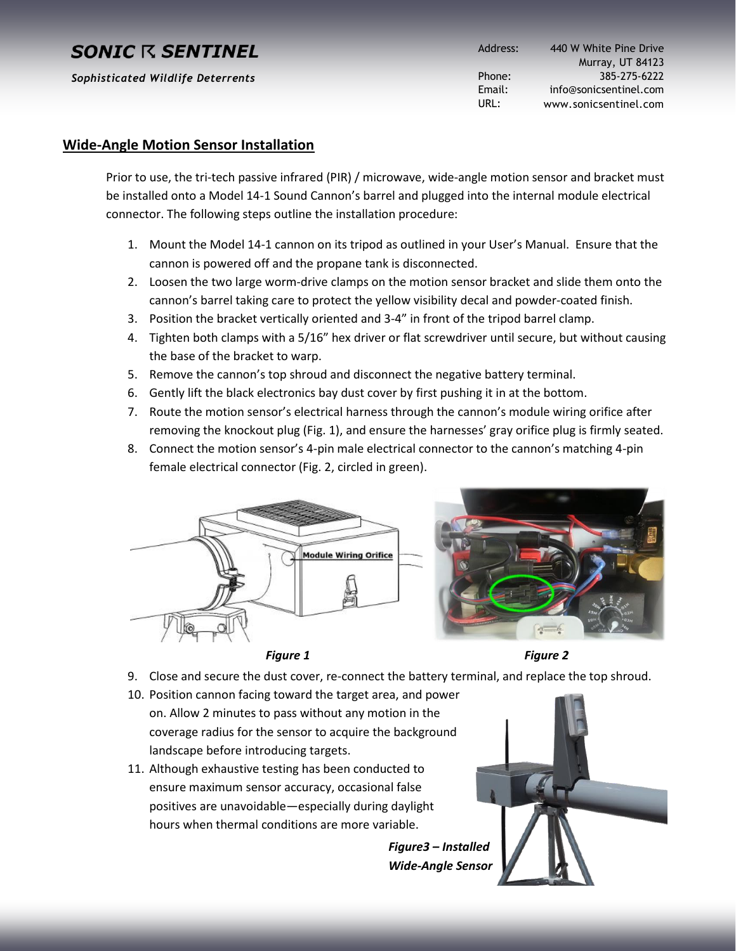# **SONIC R SENTINEL**

*Sophisticated Wildlife Deterrents*

Address: Phone: Email: URL: 440 W White Pine Drive Murray, UT 84123 385-275-6222 info@sonicsentinel.com www.sonicsentinel.com

#### **Wide-Angle Motion Sensor Installation**

Prior to use, the tri-tech passive infrared (PIR) / microwave, wide-angle motion sensor and bracket must be installed onto a Model 14-1 Sound Cannon's barrel and plugged into the internal module electrical connector. The following steps outline the installation procedure:

- 1. Mount the Model 14-1 cannon on its tripod as outlined in your User's Manual. Ensure that the cannon is powered off and the propane tank is disconnected.
- 2. Loosen the two large worm-drive clamps on the motion sensor bracket and slide them onto the cannon's barrel taking care to protect the yellow visibility decal and powder-coated finish.
- 3. Position the bracket vertically oriented and 3-4" in front of the tripod barrel clamp.
- 4. Tighten both clamps with a 5/16" hex driver or flat screwdriver until secure, but without causing the base of the bracket to warp.
- 5. Remove the cannon's top shroud and disconnect the negative battery terminal.
- 6. Gently lift the black electronics bay dust cover by first pushing it in at the bottom.
- 7. Route the motion sensor's electrical harness through the cannon's module wiring orifice after removing the knockout plug (Fig. 1), and ensure the harnesses' gray orifice plug is firmly seated.
- 8. Connect the motion sensor's 4-pin male electrical connector to the cannon's matching 4-pin female electrical connector (Fig. 2, circled in green).





*Figure 1 Figure 2*

- 9. Close and secure the dust cover, re-connect the battery terminal, and replace the top shroud.
- 10. Position cannon facing toward the target area, and power on. Allow 2 minutes to pass without any motion in the coverage radius for the sensor to acquire the background landscape before introducing targets.
- 11. Although exhaustive testing has been conducted to ensure maximum sensor accuracy, occasional false positives are unavoidable—especially during daylight hours when thermal conditions are more variable.



*Figure3 – Installed Wide-Angle Sensor*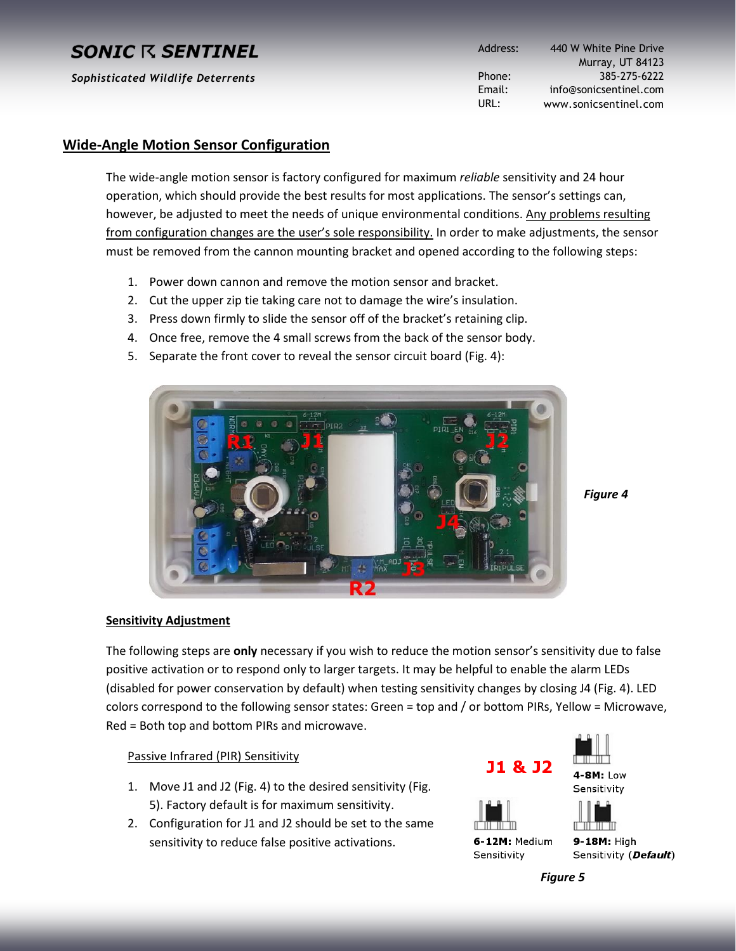# **SONIC R SENTINEL**

*Sophisticated Wildlife Deterrents*

Address: Phone: Email: URL: 440 W White Pine Drive Murray, UT 84123 385-275-6222 info@sonicsentinel.com www.sonicsentinel.com

#### **Wide-Angle Motion Sensor Configuration**

The wide-angle motion sensor is factory configured for maximum *reliable* sensitivity and 24 hour operation, which should provide the best results for most applications. The sensor's settings can, however, be adjusted to meet the needs of unique environmental conditions. Any problems resulting from configuration changes are the user's sole responsibility. In order to make adjustments, the sensor must be removed from the cannon mounting bracket and opened according to the following steps:

- 1. Power down cannon and remove the motion sensor and bracket.
- 2. Cut the upper zip tie taking care not to damage the wire's insulation.
- 3. Press down firmly to slide the sensor off of the bracket's retaining clip.
- 4. Once free, remove the 4 small screws from the back of the sensor body.
- 5. Separate the front cover to reveal the sensor circuit board (Fig. 4):



*Figure 4*

#### **Sensitivity Adjustment**

The following steps are **only** necessary if you wish to reduce the motion sensor's sensitivity due to false positive activation or to respond only to larger targets. It may be helpful to enable the alarm LEDs (disabled for power conservation by default) when testing sensitivity changes by closing J4 (Fig. 4). LED colors correspond to the following sensor states: Green = top and / or bottom PIRs, Yellow = Microwave, Red = Both top and bottom PIRs and microwave.

Passive Infrared (PIR) Sensitivity

- 1. Move J1 and J2 (Fig. 4) to the desired sensitivity (Fig. 5). Factory default is for maximum sensitivity.
- 2. Configuration for J1 and J2 should be set to the same sensitivity to reduce false positive activations.



6-12M: Medium Sensitivity

9-18M: High Sensitivity (Default)

*Figure 5*